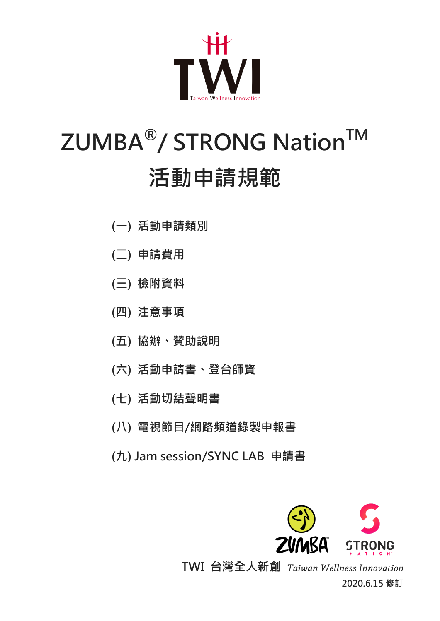

## ZUMBA<sup>®</sup>/ STRONG Nation™ 活動申請規範

- (一) 活動申請類別
- (二) 申請費用
- (三) 檢附資料
- (四) 注意事項
- (五) 協辦、贊助說明
- (六) 活動申請書、登台師資
- (七) 活動切結聲明書
- (八) 電視節目/網路頻道錄製申報書
- (九) Jam session/SYNC LAB 申請書



TWI 台灣全人新創 Taiwan Wellness Innovation 2020.6.15 修訂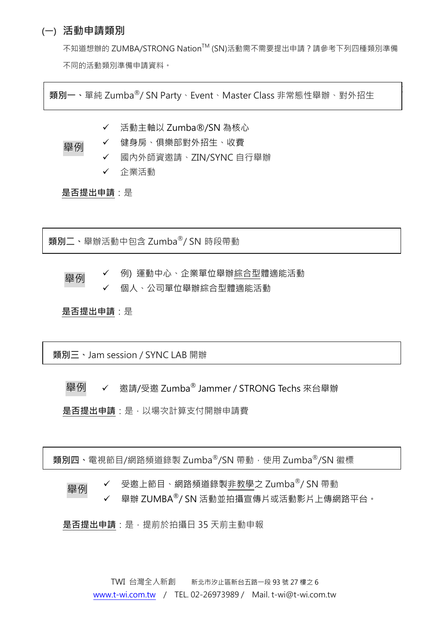### (一) 活動申請類別

 $\mathcal{M}(\mathcal{M})$ 

不知道想辦的 ZUMBA/STRONG Nation™ (SN)活動需不需要提出申請?請參考下列四種類別準備 不同的活動類別準備申請資料。

|<br>|-<br>| Xumba® Party And Alexander Class Alexander (2014 - 2014 Alexander Alexander Alexander Alexander Alexander A 類別一、單純 Zumba®/ SN Party、Event、Master Class 非常態性舉辦、對外招生

活動主軸以 Zumba®/SN 為核心

 健身房、俱樂部對外招生、收費 舉例

- 國內外師資邀請、ZIN/SYNC 自行舉辦
- 企業活動

是否提出申請:是

舉辦活動中包含 Zumba® 時段帶動 類別二、舉辦活動中包含 Zumba®/ SN 時段帶動

 例) 運動中心、企業單位舉辦綜合型體適能活動 個人、公司單位舉辦綜合型體適能活動 舉例

是否提出申請:是

│ 類別三、Jam session / SYNC LAB 開辦

✔ 邀請/受邀 Zumba<sup>®</sup> Jammer / STRONG Techs 來台舉辦 舉例

是否提出申請:是,以場次計算支付開辦申請費

| **類別四**、電視節目/網路頻道錄製 Zumba®/SN 帶動,使用 Zumba<sup>®</sup>/SN 徽標

✔ 受邀上節目、網路頻道錄製非教學之 Zumba®/ SN 帶動 舉例

 $\checkmark$  – 舉辦 ZUMBA®/ SN 活動並拍攝宣傳片或活動影片上傳網路平台。

是否提出申請:是, 提前於拍攝日 35 天前主動申報

TWI 台灣全人新創 新北市汐止區新台五路一段 93 號 27 樓之 6 [www.t-wi.com.tw](http://www.t-wi.com.tw/) / TEL. 02-26973989 / Mail. t-wi@t-wi.com.tw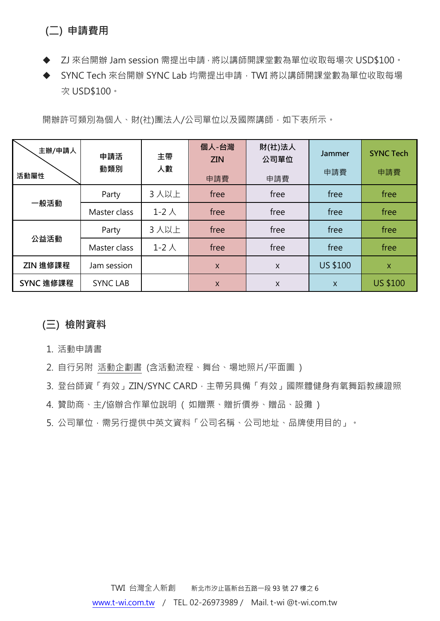## (二) 申請費用

- ◆ ZJ 來台開辦 Jam session 需提出申請, 將以講師開課堂數為單位收取每場次 USD\$100。
- ◆ SYNC Tech 來台開辦 SYNC Lab 均需提出申請, TWI 將以講師開課堂數為單位收取每場 次 USD\$100。

開辦許可類別為個人、財(社)團法人/公司單位以及國際講師,如下表所示。

| 主辦/申請人<br>活動屬性 | 申請活<br>動類別      | 主帶<br>人數       | 個人-台灣<br><b>ZIN</b><br>申請費 | 財(社)法人<br>公司單位<br>申請費 | <b>Jammer</b><br>申請費 | <b>SYNC Tech</b><br>申請費 |
|----------------|-----------------|----------------|----------------------------|-----------------------|----------------------|-------------------------|
|                | Party           | 3人以上           | free                       | free                  | free                 | free                    |
| 一般活動           | Master class    | $1-2$ $\wedge$ | free                       | free                  | free                 | free                    |
| 公益活動           | Party           | 3人以上           | free                       | free                  | free                 | free                    |
|                | Master class    | $1-2 \lambda$  | free                       | free                  | free                 | free                    |
| ZIN 進修課程       | Jam session     |                | $\mathsf{X}$               | X                     | <b>US \$100</b>      | X                       |
| SYNC 進修課程      | <b>SYNC LAB</b> |                | $\mathsf{X}$               | X                     | X                    | <b>US \$100</b>         |

## (三) 檢附資料

- 1. 活動申請書
- 2. 自行另附 活動企劃書 (含活動流程、舞台、場地照片/平面圖 )
- 3. 登台師資「有效」ZIN/SYNC CARD, 主帶另具備「有效」國際體健身有氧舞蹈教練證照
- 4. 贊助商、主/協辦合作單位說明 ( 如贈票、贈折價券、贈品、設攤 )
- 5. 公司單位,需另行提供中英文資料「公司名稱、公司地址、品牌使用目的」。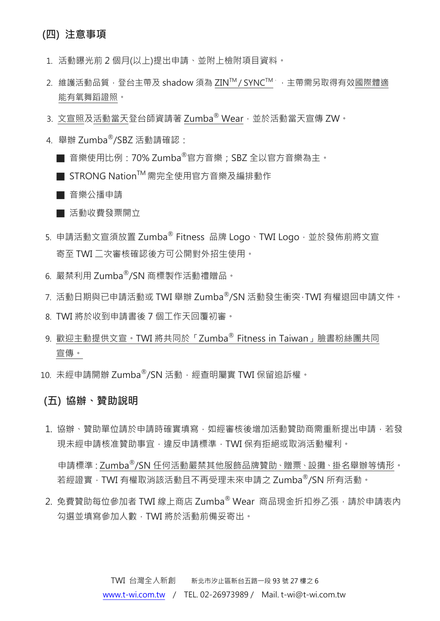## (四) 注意事項

- 1. 活動曝光前 2 個月(以上)提出申請、並附上檢附項目資料。
- 2. 維護活動品質,登台主帶及 shadow 須為 ZIN™ / SYNC™,主帶需另取得有效國際體適 能有氧舞蹈證照。
- 3. 文宣照及活動當天登台師資請著 Zumba® Wear,並於活動當天宣傳 ZW。
- 4. 舉辦 Zumba®/SBZ 活動請確認:
	- 音樂使用比例:70% Zumba®官方音樂; SBZ 全以官方音樂為主。
	- STRONG Nation<sup>™</sup> 需完全使用官方音樂及編排動作

■ 音樂公播申請

- 活動收費發票開立
- 5. 申請活動文宣須放置 Zumba® Fitness 品牌 Logo、TWI Logo,並於發佈前將文宣 寄至 TWI 二次審核確認後方可公開對外招生使用。
- 6. 嚴禁利用 Zumba®/SN 商標製作活動禮贈品。
- 7. 活動日期與已申請活動或 TWI 舉辦 Zumba®/SN 活動發牛衝突, TWI 有權狠回申請文件。
- 8. TWI 將於收到申請書後 7 個工作天回覆初審。
- 9. 歡迎主動提供文宣。TWI 將共同於「Zumba® Fitness in Taiwan」臉書粉絲團共同 宣傳。
- 10. 未經申請開辦 Zumba®/SN 活動,經查明屬實 TWI 保留追訴權。

#### (五) 協辦、贊助說明

1. 協辦、贊助單位請於申請時確實填寫,如經審核後增加活動贊助商需重新提出申請,若發 現未經申請核准贊助事宜,違反申請標準,TWI 保有拒絕或取消活動權利。

申請標準:Zumba®/SN 任何活動嚴禁其他服飾品牌贊助、贈票、設攤、掛名舉辦等情形。 若經證實,TWI 有權取消該活動且不再受理未來申請之 Zumba®/SN 所有活動。

2. 免費贊助每位參加者 TWI 線上商店 Zumba® Wear 商品現金折扣券乙張, 請於申請表內 勾選並填寫參加人數,TWI 將於活動前備妥寄出。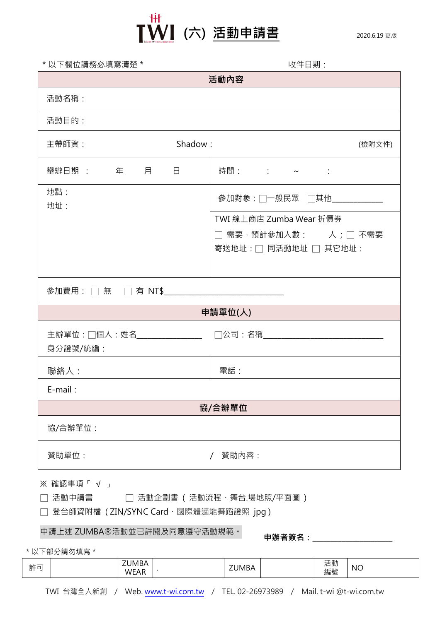

| * 以下欄位請務必填寫清楚 *                               | 收件日期:                                    |  |  |  |  |
|-----------------------------------------------|------------------------------------------|--|--|--|--|
|                                               | 活動內容                                     |  |  |  |  |
| 活動名稱:                                         |                                          |  |  |  |  |
| 活動目的:                                         |                                          |  |  |  |  |
| 主帶師資:                                         | Shadow:<br>(檢附文件)                        |  |  |  |  |
| <b> 舉辦日期 : そんの 年の 月の うらの 月の</b><br>$\Box$     | 時間:    :    ~    :                       |  |  |  |  |
| 地點:<br>地址:                                    | 參加對象:□一般民眾 □其他__________                 |  |  |  |  |
|                                               | TWI 線上商店 Zumba Wear 折價券                  |  |  |  |  |
|                                               | $\Box$ 需要‧預計參加人數: $\quad$ 人 ; $\Box$ 不需要 |  |  |  |  |
|                                               | 寄送地址:□ 同活動地址 □ 其它地址:                     |  |  |  |  |
|                                               |                                          |  |  |  |  |
| 參加費用: □ 無 □ 有 NT\$___________________________ |                                          |  |  |  |  |
|                                               | 申請單位(人)                                  |  |  |  |  |
|                                               |                                          |  |  |  |  |
| 身分證號/統編:                                      |                                          |  |  |  |  |
| 聯絡人:                                          | 電話:                                      |  |  |  |  |
| $E$ -mail:                                    |                                          |  |  |  |  |
|                                               | 協/合辦單位                                   |  |  |  |  |
| 協/合辦單位:                                       |                                          |  |  |  |  |
| 贊助單位:                                         | 贊助內容:                                    |  |  |  |  |
| ※ 確認事項「 √ 」                                   |                                          |  |  |  |  |
| 活動申請書                                         | 活動企劃書 ( 活動流程、舞台.場地照/平面圖 )                |  |  |  |  |
| 登台師資附檔 (ZIN/SYNC Card、國際體適能舞蹈證照 jpg)          |                                          |  |  |  |  |
| 申請上述 ZUMBA®活動並已詳閱及同意遵守活動規範。                   | 申辦者簽名:                                   |  |  |  |  |

\*以下部分請勿填寫\*

| 乾司<br>--<br>. .<br>- | <b>MBA</b><br>$\sim$<br>n<br>WF<br>'⊢∆k | $\sqrt{2}$<br>JMBA | ---<br>4 里川<br>/口<br>編號 | <b>NC</b> |
|----------------------|-----------------------------------------|--------------------|-------------------------|-----------|
|                      | <b>VVLOU</b>                            |                    |                         |           |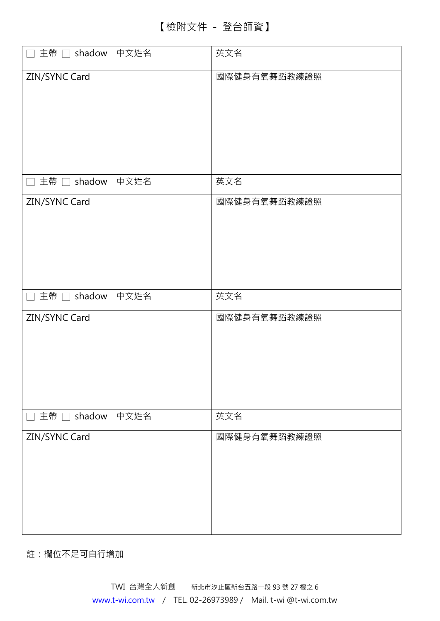| 主帶 □ shadow 中文姓名<br>$\Box$ | 英文名          |
|----------------------------|--------------|
| ZIN/SYNC Card              | 國際健身有氧舞蹈教練證照 |
| □ 主帶 □ shadow 中文姓名         | 英文名          |
| ZIN/SYNC Card              | 國際健身有氧舞蹈教練證照 |
| □ 主帶 □ shadow 中文姓名         | 英文名          |
| ZIN/SYNC Card              | 國際健身有氧舞蹈教練證照 |
| 主帶 □ shadow 中文姓名<br>$\sim$ | 英文名          |
| ZIN/SYNC Card              | 國際健身有氧舞蹈教練證照 |

註:欄位不足可自行增加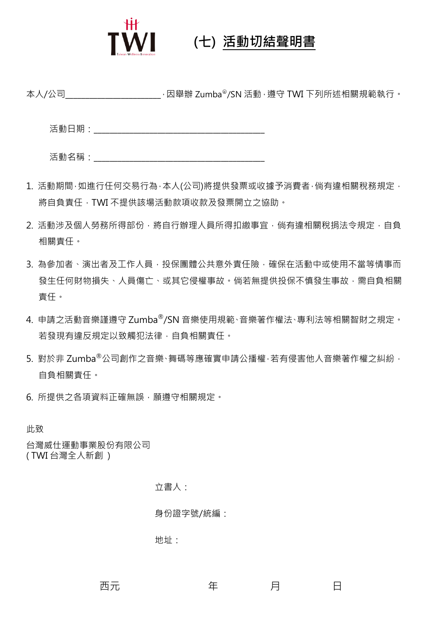

## $\textsf{T}\textsf{W}\textsf{I}$  (七) 活動切結聲明書

本人/公司\_\_\_\_\_\_\_\_\_\_\_\_\_\_\_\_\_\_\_\_\_\_\_\_\_\_\_, 因舉辦 Zumba®/SN 活動 , 遵守 TWI 下列所述相關規範執行。

活動日期:\_\_\_\_\_\_\_\_\_\_\_\_\_\_\_\_\_\_\_\_\_\_\_\_\_\_\_\_\_\_\_\_\_\_\_\_\_\_\_\_\_\_\_

| 活動名稱 |  |
|------|--|
|      |  |
|      |  |
|      |  |
|      |  |

- 1. 活動期間,如進行任何交易行為,本人(公司)將提供發票或收據予消費者,倘有違相關稅務規定, 將自負責任,TWI 不提供該場活動款項收款及發票開立之協助。
- 2. 活動涉及個人勞務所得部份,將自行辦理人員所得扣繳事宜,倘有違相關稅捐法令規定,自負 相關責任。
- 3. 為參加者、演出者及工作人員,投保團體公共意外責任險,確保在活動中或使用不當等情事而 發生任何財物損失、人員傷亡、或其它侵權事故。倘若無提供投保不慎發生事故,需自負相關 責任。
- 4. 申請之活動音樂謹遵守 Zumba®/SN 音樂使用規範、音樂著作權法、專利法等相關智財之規定。 若發現有違反規定以致觸犯法律,自負相關責任。
- 5. 對於非 Zumba®公司創作之音樂、舞碼等應確實申請公播權,若有侵害他人音樂著作權之糾紛, 自負相關責任。
- 6. 所提供之各項資料正確無誤,願遵守相關規定。

此致

台灣威仕運動事業股份有限公司 ( TWI 台灣全人新創 )

立書人:

身份證字號/統編:

地址:

あいちゃく 西元 さい こうしん 年 ショップ 月 ジョン・日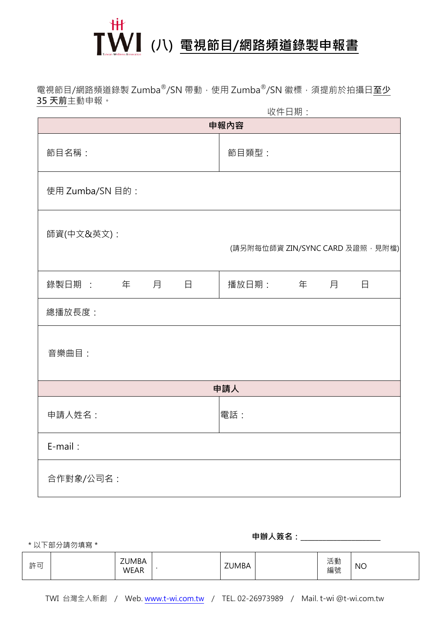

電視節目/網路頻道錄製 Zumba®/SN 帶動, 使用 Zumba®/SN 徽標, 須提前於拍攝日<mark>至少</mark> 35天前主動申報。

| 收件日期:                 |                                 |  |  |  |  |
|-----------------------|---------------------------------|--|--|--|--|
|                       | 申報內容                            |  |  |  |  |
| 節目名稱:                 | 節目類型:                           |  |  |  |  |
| 使用 Zumba/SN 目的:       |                                 |  |  |  |  |
| 師資(中文&英文):            | (請另附每位師資 ZIN/SYNC CARD 及證照,見附檔) |  |  |  |  |
| 錄製日期 :     年   月<br>日 | 播放日期:    年   月<br>日             |  |  |  |  |
| 總播放長度:                |                                 |  |  |  |  |
| 音樂曲目:                 |                                 |  |  |  |  |
|                       | 申請人                             |  |  |  |  |
| 申請人姓名:                | 電話:                             |  |  |  |  |
| E-mail:               |                                 |  |  |  |  |
| 合作對象/公司名:             |                                 |  |  |  |  |

\*以下部分請勿填寫\*

**申辦人簽名:**\_\_\_\_\_\_\_\_\_\_\_\_\_\_\_

| 許可 |  | <b>ZUMBA</b><br><b>WEAR</b> | - 1 | <b>ZUMBA</b> |  | ≔ ≔י<br>沽動<br>編號 | <b>NO</b> |
|----|--|-----------------------------|-----|--------------|--|------------------|-----------|
|----|--|-----------------------------|-----|--------------|--|------------------|-----------|